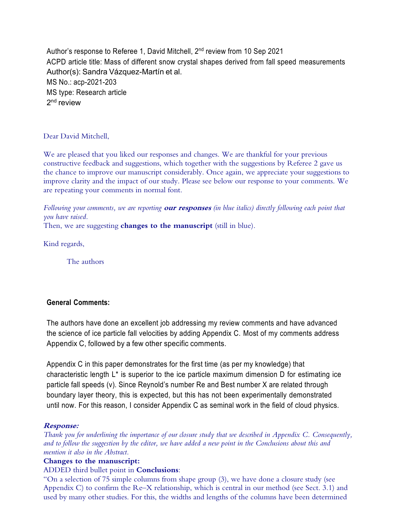Author's response to Referee 1, David Mitchell, 2nd review from 10 Sep 2021 ACPD article title: Mass of different snow crystal shapes derived from fall speed measurements Author(s): Sandra Vázquez-Martín et al. MS No.: acp-2021-203 MS type: Research article 2<sup>nd</sup> review

Dear David Mitchell,

We are pleased that you liked our responses and changes. We are thankful for your previous constructive feedback and suggestions, which together with the suggestions by Referee 2 gave us the chance to improve our manuscript considerably. Once again, we appreciate your suggestions to improve clarity and the impact of our study. Please see below our response to your comments. We are repeating your comments in normal font.

*Following your comments, we are reporting* **our responses** *(in blue italics) directly following each point that you have raised.*

Then, we are suggesting **changes to the manuscript** (still in blue).

Kind regards,

The authors

# **General Comments:**

The authors have done an excellent job addressing my review comments and have advanced the science of ice particle fall velocities by adding Appendix C. Most of my comments address Appendix C, followed by a few other specific comments.

Appendix C in this paper demonstrates for the first time (as per my knowledge) that characteristic length  $L^*$  is superior to the ice particle maximum dimension D for estimating ice particle fall speeds (v). Since Reynold's number Re and Best number X are related through boundary layer theory, this is expected, but this has not been experimentally demonstrated until now. For this reason, I consider Appendix C as seminal work in the field of cloud physics.

## **Response:**

*Thank you for underlining the importance of our closure study that we described in Appendix C. Consequently, and to follow the suggestion by the editor, we have added a new point in the Conclusions about this and mention it also in the Abstract.*

## **Changes to the manuscript:**

### ADDED third bullet point in **Conclusions**:

"On a selection of 75 simple columns from shape group (3), we have done a closure study (see Appendix C) to confirm the Re–X relationship, which is central in our method (see Sect. 3.1) and used by many other studies. For this, the widths and lengths of the columns have been determined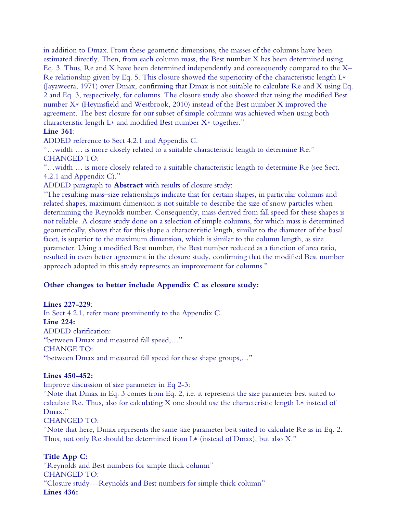in addition to Dmax. From these geometric dimensions, the masses of the columns have been estimated directly. Then, from each column mass, the Best number X has been determined using Eq. 3. Thus, Re and X have been determined independently and consequently compared to the X– Re relationship given by Eq. 5. This closure showed the superiority of the characteristic length L∗ (Jayaweera, 1971) over Dmax, confirming that Dmax is not suitable to calculate Re and X using Eq. 2 and Eq. 3, respectively, for columns. The closure study also showed that using the modified Best number X∗ (Heymsfield and Westbrook, 2010) instead of the Best number X improved the agreement. The best closure for our subset of simple columns was achieved when using both characteristic length L∗ and modified Best number X∗ together."

### **Line 361**:

ADDED reference to Sect 4.2.1 and Appendix C.

"…width … is more closely related to a suitable characteristic length to determine Re." CHANGED TO:

"…width … is more closely related to a suitable characteristic length to determine Re (see Sect. 4.2.1 and Appendix C)."

ADDED paragraph to **Abstract** with results of closure study:

"The resulting mass–size relationships indicate that for certain shapes, in particular columns and related shapes, maximum dimension is not suitable to describe the size of snow particles when determining the Reynolds number. Consequently, mass derived from fall speed for these shapes is not reliable. A closure study done on a selection of simple columns, for which mass is determined geometrically, shows that for this shape a characteristic length, similar to the diameter of the basal facet, is superior to the maximum dimension, which is similar to the column length, as size parameter. Using a modified Best number, the Best number reduced as a function of area ratio, resulted in even better agreement in the closure study, confirming that the modified Best number approach adopted in this study represents an improvement for columns."

### **Other changes to better include Appendix C as closure study:**

#### **Lines 227-229**:

In Sect 4.2.1, refer more prominently to the Appendix C. **Line 224:** ADDED clarification: "between Dmax and measured fall speed,…" CHANGE TO: "between Dmax and measured fall speed for these shape groups,…"

#### **Lines 450-452:**

Improve discussion of size parameter in Eq 2-3:

"Note that Dmax in Eq. 3 comes from Eq. 2, i.e. it represents the size parameter best suited to calculate Re. Thus, also for calculating X one should use the characteristic length L∗ instead of Dmax."

CHANGED TO:

"Note that here, Dmax represents the same size parameter best suited to calculate Re as in Eq. 2. Thus, not only Re should be determined from L∗ (instead of Dmax), but also X."

### **Title App C:**

"Reynolds and Best numbers for simple thick column" CHANGED TO: "Closure study---Reynolds and Best numbers for simple thick column" **Lines 436:**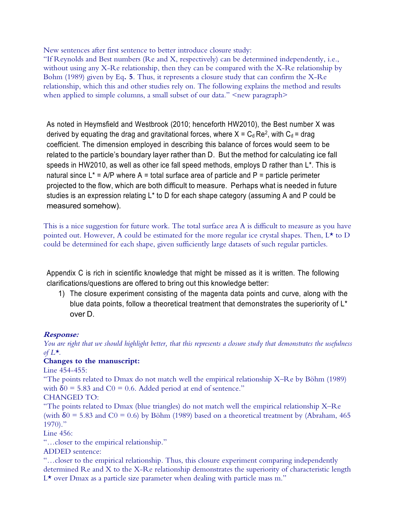New sentences after first sentence to better introduce closure study:

"If Reynolds and Best numbers (Re and X, respectively) can be determined independently, i.e., without using any X-Re relationship, then they can be compared with the X-Re relationship by Bohm (1989) given by Eq**. 5**. Thus, it represents a closure study that can confirm the X-Re relationship, which this and other studies rely on. The following explains the method and results when applied to simple columns, a small subset of our data." <new paragraph>

As noted in Heymsfield and Westbrook (2010; henceforth HW2010), the Best number X was derived by equating the drag and gravitational forces, where  $X = C_d Re^2$ , with  $C_d = drag$ coefficient. The dimension employed in describing this balance of forces would seem to be related to the particle's boundary layer rather than D. But the method for calculating ice fall speeds in HW2010, as well as other ice fall speed methods, employs D rather than L\*. This is natural since  $L^* = A/P$  where A = total surface area of particle and P = particle perimeter projected to the flow, which are both difficult to measure. Perhaps what is needed in future studies is an expression relating L\* to D for each shape category (assuming A and P could be measured somehow).

This is a nice suggestion for future work. The total surface area A is difficult to measure as you have pointed out. However, A could be estimated for the more regular ice crystal shapes. Then,  $L^*$  to D could be determined for each shape, given sufficiently large datasets of such regular particles.

Appendix C is rich in scientific knowledge that might be missed as it is written. The following clarifications/questions are offered to bring out this knowledge better:

1) The closure experiment consisting of the magenta data points and curve, along with the blue data points, follow a theoretical treatment that demonstrates the superiority of L<sup>\*</sup> over D.

## **Response:**

*You are right that we should highlight better, that this represents a closure study that demonstrates the usefulness of L\*.*

## **Changes to the manuscript:**

Line 454-455:

"The points related to Dmax do not match well the empirical relationship X–Re by Böhm (1989) with  $\delta$ 0 = 5.83 and C0 = 0.6. Added period at end of sentence."

CHANGED TO:

"The points related to Dmax (blue triangles) do not match well the empirical relationship X–Re (with  $\delta$ 0 = 5.83 and C0 = 0.6) by Böhm (1989) based on a theoretical treatment by (Abraham, 465 1970)."

Line 456:

"…closer to the empirical relationship."

ADDED sentence:

"…closer to the empirical relationship. Thus, this closure experiment comparing independently determined Re and X to the X-Re relationship demonstrates the superiority of characteristic length  $L^{\star}$  over Dmax as a particle size parameter when dealing with particle mass m."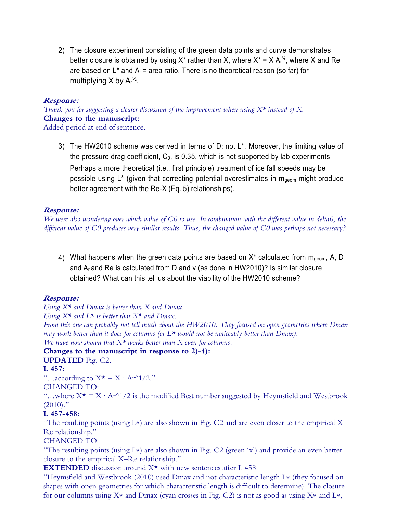2) The closure experiment consisting of the green data points and curve demonstrates better closure is obtained by using X<sup>\*</sup> rather than X, where X<sup>\*</sup> = X A<sub>r</sub><sup>1/2</sup>, where X and Re are based on  $L^*$  and  $A_r$  = area ratio. There is no theoretical reason (so far) for multiplying X by  $Ar^{\frac{1}{2}}$ .

### **Response:**

*Thank you for suggesting a clearer discussion of the improvement when using X\* instead of X.* **Changes to the manuscript:**

Added period at end of sentence.

3) The HW2010 scheme was derived in terms of D; not  $L^*$ . Moreover, the limiting value of the pressure drag coefficient,  $C_0$ , is 0.35, which is not supported by lab experiments. Perhaps a more theoretical (i.e., first principle) treatment of ice fall speeds may be possible using  $L^*$  (given that correcting potential overestimates in m<sub>geom</sub> might produce better agreement with the Re-X (Eq. 5) relationships).

#### **Response:**

*We were also wondering over which value of C0 to use. In combination with the different value in delta0, the different value of C0 produces very similar results. Thus, the changed value of C0 was perhaps not necessary?* 

4) What happens when the green data points are based on  $X^*$  calculated from  $m_{geom}$ , A, D and  $A_r$  and Re is calculated from D and v (as done in HW2010)? Is similar closure obtained? What can this tell us about the viability of the HW2010 scheme?

### **Response:**

*Using X\* and Dmax is better than X and Dmax.*

*Using X\* and L\* is better that X\* and Dmax.*

*From this one can probably not tell much about the HW2010. They focused on open geometries where Dmax may work better than it does for columns (or L\* would not be noticeably better than Dmax).* 

*We have now shown that X\* works better than X even for columns.*

# **Changes to the manuscript in response to 2)-4):**

**UPDATED** Fig. C2.

### **L 457:**

"...according to  $X^* = X \cdot Ar^{\wedge}1/2$ ."

#### CHANGED TO:

"...where  $X^* = X \cdot Ar^2/2$  is the modified Best number suggested by Heymsfield and Westbrook  $(2010)$ ."

### **L 457-458:**

"The resulting points (using L∗) are also shown in Fig. C2 and are even closer to the empirical X– Re relationship."

### CHANGED TO:

"The resulting points (using L∗) are also shown in Fig. C2 (green 'x') and provide an even better closure to the empirical X–Re relationship."

**EXTENDED** discussion around  $X^*$  with new sentences after L 458:

"Heymsfield and Westbrook (2010) used Dmax and not characteristic length L∗ (they focused on shapes with open geometries for which characteristic length is difficult to determine). The closure for our columns using X∗ and Dmax (cyan crosses in Fig. C2) is not as good as using X∗ and L∗,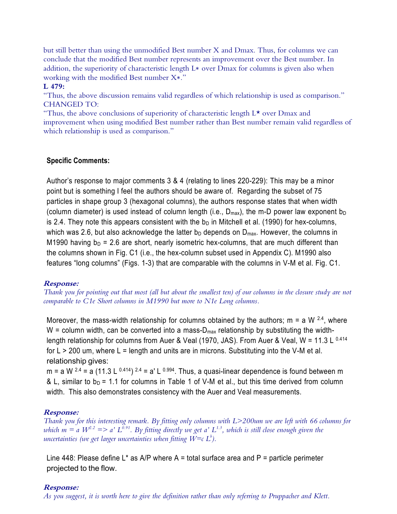but still better than using the unmodified Best number X and Dmax. Thus, for columns we can conclude that the modified Best number represents an improvement over the Best number. In addition, the superiority of characteristic length L∗ over Dmax for columns is given also when working with the modified Best number X∗."

### **L 479:**

"Thus, the above discussion remains valid regardless of which relationship is used as comparison." CHANGED TO:

"Thus, the above conclusions of superiority of characteristic length  $L^{\star}$  over Dmax and improvement when using modified Best number rather than Best number remain valid regardless of which relationship is used as comparison."

### **Specific Comments:**

Author's response to major comments 3 & 4 (relating to lines 220-229): This may be a minor point but is something I feel the authors should be aware of. Regarding the subset of 75 particles in shape group 3 (hexagonal columns), the authors response states that when width (column diameter) is used instead of column length (i.e.,  $D_{max}$ ), the m-D power law exponent b<sub>D</sub> is 2.4. They note this appears consistent with the  $b<sub>D</sub>$  in Mitchell et al. (1990) for hex-columns, which was 2.6, but also acknowledge the latter  $b<sub>D</sub>$  depends on  $D<sub>max</sub>$ . However, the columns in M1990 having  $b_D$  = 2.6 are short, nearly isometric hex-columns, that are much different than the columns shown in Fig. C1 (i.e., the hex-column subset used in Appendix C). M1990 also features "long columns" (Figs. 1-3) that are comparable with the columns in V-M et al. Fig. C1.

### **Response:**

*Thank you for pointing out that most (all but about the smallest ten) of our columns in the closure study are not comparable to C1e Short columns in M1990 but more to N1e Long columns.*

Moreover, the mass-width relationship for columns obtained by the authors; m = a W  $^{2.4}$ , where W = column width, can be converted into a mass- $D_{max}$  relationship by substituting the widthlength relationship for columns from Auer & Veal (1970, JAS). From Auer & Veal, W = 11.3 L 0.414 for  $L > 200$  um, where  $L =$  length and units are in microns. Substituting into the V-M et al. relationship gives:

m = a W  $^{2.4}$  = a (11.3 L  $^{0.414}$ )  $^{2.4}$  = a' L  $^{0.994}$ . Thus, a quasi-linear dependence is found between m & L, similar to  $b_D = 1.1$  for columns in Table 1 of V-M et al., but this time derived from column width. This also demonstrates consistency with the Auer and Veal measurements.

### **Response:**

*Thank you for this interesting remark. By fitting only columns with L>200um we are left with 66 columns for*  which  $m = a$   $W^{2.2} \implies a' L^{0.91}$ . By fitting directly we get a'  $L^{1.3}$ , which is still close enough given the *uncertainties (we get larger uncertainties when fitting*  $W = c L^b$ *).* 

Line 448: Please define L<sup>\*</sup> as A/P where A = total surface area and P = particle perimeter projected to the flow.

### **Response:**

*As you suggest, it is worth here to give the definition rather than only referring to Pruppacher and Klett.*